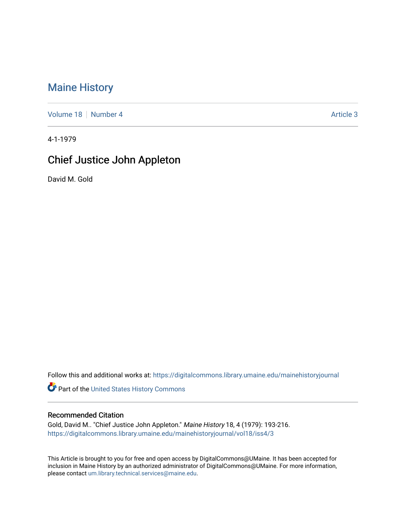## [Maine History](https://digitalcommons.library.umaine.edu/mainehistoryjournal)

[Volume 18](https://digitalcommons.library.umaine.edu/mainehistoryjournal/vol18) [Number 4](https://digitalcommons.library.umaine.edu/mainehistoryjournal/vol18/iss4) [Article 3](https://digitalcommons.library.umaine.edu/mainehistoryjournal/vol18/iss4/3) Article 3

4-1-1979

# Chief Justice John Appleton

David M. Gold

Follow this and additional works at: [https://digitalcommons.library.umaine.edu/mainehistoryjournal](https://digitalcommons.library.umaine.edu/mainehistoryjournal?utm_source=digitalcommons.library.umaine.edu%2Fmainehistoryjournal%2Fvol18%2Fiss4%2F3&utm_medium=PDF&utm_campaign=PDFCoverPages) 

Part of the [United States History Commons](http://network.bepress.com/hgg/discipline/495?utm_source=digitalcommons.library.umaine.edu%2Fmainehistoryjournal%2Fvol18%2Fiss4%2F3&utm_medium=PDF&utm_campaign=PDFCoverPages) 

#### Recommended Citation

Gold, David M.. "Chief Justice John Appleton." Maine History 18, 4 (1979): 193-216. [https://digitalcommons.library.umaine.edu/mainehistoryjournal/vol18/iss4/3](https://digitalcommons.library.umaine.edu/mainehistoryjournal/vol18/iss4/3?utm_source=digitalcommons.library.umaine.edu%2Fmainehistoryjournal%2Fvol18%2Fiss4%2F3&utm_medium=PDF&utm_campaign=PDFCoverPages)

This Article is brought to you for free and open access by DigitalCommons@UMaine. It has been accepted for inclusion in Maine History by an authorized administrator of DigitalCommons@UMaine. For more information, please contact [um.library.technical.services@maine.edu.](mailto:um.library.technical.services@maine.edu)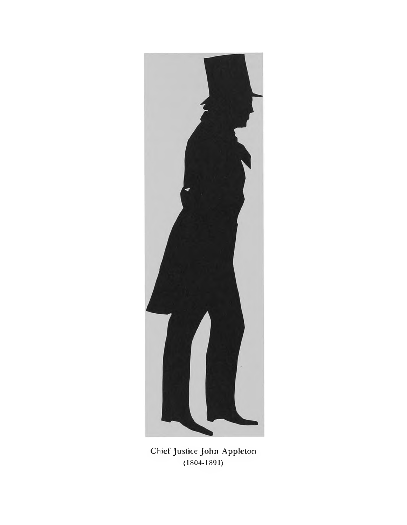

Chief Justice John Appleton (1804-1891)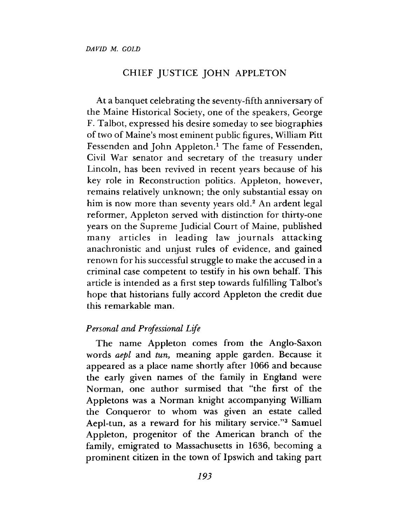### CHIEF JUSTICE JOHN APPLETON

At a banquet celebrating the seventy-fifth anniversary of the Maine Historical Society, one of the speakers, George F. Talbot, expressed his desire someday to see biographies of two of Maine's most eminent public figures, William Pitt Fessenden and John Appleton.<sup>1</sup> The fame of Fessenden, Civil War senator and secretary of the treasury under Lincoln, has been revived in recent years because of his key role in Reconstruction politics. Appleton, however, remains relatively unknown; the only substantial essay on him is now more than seventy years old.<sup>2</sup> An ardent legal reformer, Appleton served with distinction for thirty-one years on the Supreme Judicial Court of Maine, published many articles in leading law journals attacking anachronistic and unjust rules of evidence, and gained renown for his successful struggle to make the accused in a criminal case competent to testify in his own behalf. This article is intended as a first step towards fulfilling Talbot's hope that historians fully accord Appleton the credit due this remarkable man.

### *Personal and Professional Life*

The name Appleton comes from the Anglo-Saxon words *aepl* and *tun*, meaning apple garden. Because it appeared as a place name shortly after 1066 and because the early given names of the family in England were Norman, one author surmised that "the first of the Appletons was a Norman knight accompanying William the Conqueror to whom was given an estate called Aepl-tun, as a reward for his military service."<sup>3</sup> Samuel Appleton, progenitor of the American branch of the family, emigrated to Massachusetts in 1636, becoming a prominent citizen in the town of Ipswich and taking part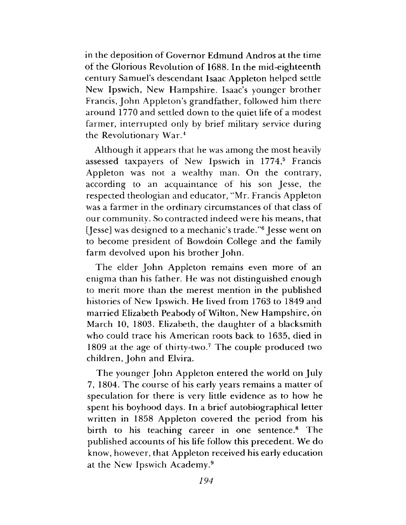in the deposition of Governor Edmund Andros at the time of the Glorious Revolution of 1688. In the mid-eighteenth century Sam uel's descendant Isaac A ppleton helped settle New Ipswich, New Hampshire. Isaac's younger brother Francis, John Appleton's grandfather, followed him there around 1770 and settled down to the quiet life of a modest farmer, interrupted only by brief military service during the Revolutionary War. $<sup>4</sup>$ </sup>

Although it appears that he was among the most heavily assessed taxpayers of New Ipswich in 1774,<sup>5</sup> Francis Appleton was not a wealthy man. On the contrary, according to an acquaintance of his son Jesse, the respected theologian and educator, "Mr. Francis Appleton was a farmer in the ordinary circumstances of that class of our community. So contracted indeed were his means, that [Jesse] was designed to a mechanic's trade."<sup>6</sup> Jesse went on to become president of Bowdoin College and the family farm devolved upon his brother John.

The elder John Appleton remains even more of an enigma than his father. He was not distinguished enough to merit more than the merest mention in the published histories of New Ipswich. He lived from 1763 to 1849 and married Elizabeth Peabody of Wilton, New Hampshire, on March 10, 1803. Elizabeth, the daughter of a blacksmith who could trace his American roots back to 1635, died in 1809 at the age of thirty-two.<sup>7</sup> The couple produced two children, John and Elvira.

The younger John Appleton entered the world on July 7, 1804. The course of his early years remains a matter of speculation for there is very little evidence as to how he spent his boyhood days. In a brief autobiographical letter written in 1858 Appleton covered the period from his birth to his teaching career in one sentence.<sup>8</sup> The published accounts of his life follow this precedent. We do know, however, that Appleton received his early education at the New Ipswich Academy.9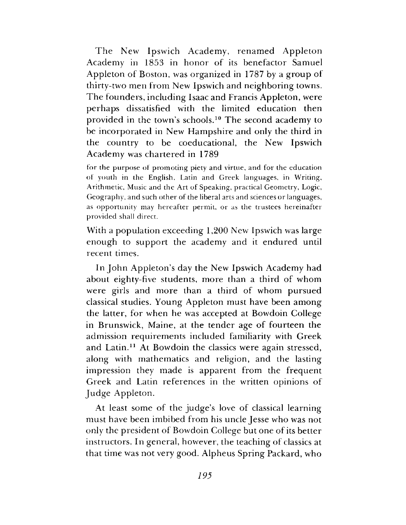The New Ipswich Academy, renamed Appleton Academy in 1853 in honor of its benefactor Samuel Appleton of Boston, was organized in 1787 by a group of thirty-two men from New Ipswich and neighboring towns. T he founders, including Isaac and Francis Appleton, were perhaps dissatisfied with the limited education then provided in the town's schools.<sup>10</sup> The second academy to be incorporated in New Hampshire and only the third in the country to be coeducational, the New Ipswich Academy was chartered in 1789

for the purpose of prom oting piety and virtue, and for the education of youth in the English, Latin and Greek languages, in W riting, Arithm etic, Music and the Art of Speaking, practical Geometry, Logic, Geography, and such other of the liberal arts and sciences or languages, as opportunity may hereafter permit, or as the trustees hereinafter provided shall direct.

With a population exceeding 1,200 New Ipswich was large enough to support the academy and it endured until recent times.

In John Appleton's day the New Ipswich Academy had about eighty-five students, more than a third of whom were girls and more than a third of whom pursued classical studies. Young Appleton must have been among the latter, for when he was accepted at Bowdoin College in Brunswick, Maine, at the tender age of fourteen the admission requirements included familiarity with Greek and Latin.11 At Bowdoin the classics were again stressed, along with mathematics and religion, and the lasting impression they m ade is apparent from the frequent Greek and Latin references in the written opinions of Judge Appleton.

At least some of the judge's love of classical learning must have been imbibed from his uncle Jesse who was not only the president of Bowdoin College but one of its better instructors. In general, however, the teaching of classics at that time was not very good. Alpheus Spring Packard, who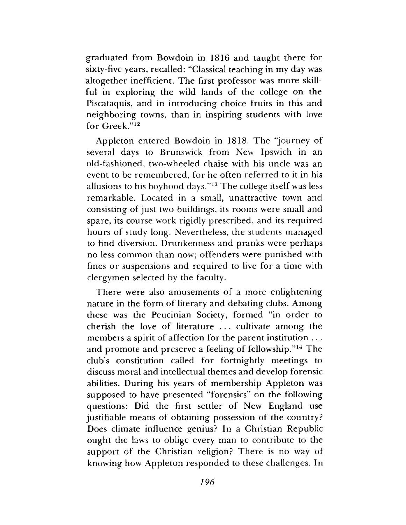graduated from Bowdoin in 1816 and taught there for sixty-five years, recalled: "Classical teaching in my day was altogether inefficient. The first professor was more skillful in exploring the wild lands of the college on the Piscataquis, and in introducing choice fruits in this and neighboring towns, than in inspiring students with love for  $G$  reek." $12$ 

Appleton entered Bowdoin in 1818. The "journey of several days to Brunswick from New Ipswich in an old-fashioned, two-wheeled chaise with his uncle was an event to be remembered, for he often referred to it in his allusions to his boyhood days."<sup>13</sup> The college itself was less remarkable. Located in a small, unattractive town and consisting of just two buildings, its rooms were small and spare, its course work rigidly prescribed, and its required hours of study long. Nevertheless, the students managed to find diversion. Drunkenness and pranks were perhaps no less common than now; offenders were punished with fines or suspensions and required to live for a time with clergymen selected by the faculty.

There were also amusements of a more enlightening nature in the form of literary and debating clubs. Among these was the Peucinian Society, formed "in order to cherish the love of literature  $\dots$  cultivate among the members a spirit of affection for the parent institution  $\dots$ and promote and preserve a feeling of fellowship."<sup>14</sup> The club's constitution called for fortnightly meetings to discuss moral and intellectual themes and develop forensic abilities. During his years of membership Appleton was supposed to have presented "forensics" on the following questions: Did the first settler of New England use justifiable means of obtaining possession of the country? Does climate influence genius? In a Christian Republic ought the laws to oblige every man to contribute to the support of the Christian religion? There is no way of knowing how Appleton responded to these challenges. In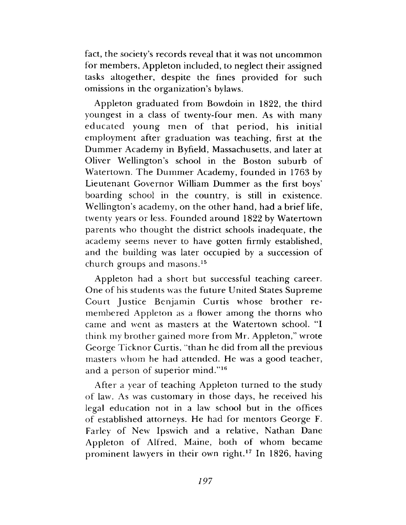fact, the society's records reveal that it was not uncommon for members, Appleton included, to neglect their assigned tasks altogether, despite the fines provided for such omissions in the organization's bylaws.

A ppleton graduated from Bowdoin in 1822, the third youngest in a class of twenty-four men. As with many educated young men of that period, his initial employment after graduation was teaching, first at the Dummer Academy in Byfield, Massachusetts, and later at Oliver Wellington's school in the Boston suburb of Watertown. The Dummer Academy, founded in 1763 by Lieutenant Governor William Dummer as the first boys' boarding school in the country, is still in existence. Wellington's academy, on the other hand, had a brief life, twenty years or less. Founded around 1822 by Watertown parents who thought the district schools inadequate, the academy seems never to have gotten firmly established, and the building was later occupied by a succession of church groups and masons.<sup>15</sup>

Appleton had a short but successful teaching career. One of his students was the future United States Supreme Court Justice Benjamin Curtis whose brother remembered Appleton as a flower among the thorns who came and went as masters at the Watertown school. "I think my brother gained more from Mr. Appleton," wrote George Ticknor Curtis, "than he did from all the previous masters whom he had attended. He was a good teacher, and a person of superior mind."<sup>16</sup>

After a year of teaching Appleton turned to the study of law. As was custom ary in those days, he received his legal education not in a law school but in the offices of established attorneys. He had for mentors George F. Farley of New Ipswich and a relative, Nathan Dane Appleton of Alfred, Maine, both of whom became prominent lawyers in their own right.<sup>17</sup> In 1826, having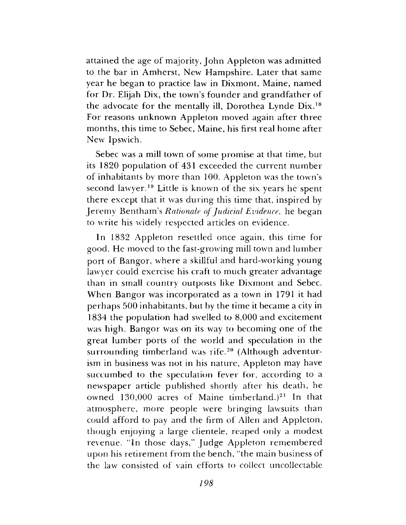attained the age of majority, John Appleton was admitted to the bar in Amherst, New Hampshire. Later that same year he began to practice law in Dixmont, Maine, named for Dr. Elijah Dix, the town's founder and grandfather of the advocate for the mentally ill, Dorothea Lynde Dix.18 For reasons unknown Appleton moved again after three months, this time to Sebec, Maine, his first real home after New Ipswich.

Sebec was a mill town of some promise at that time, but its 1820 population of 431 exceeded the current number of inhabitants by more than 100. Appleton was the town's second lawyer.19 Little is known of the six years he spent there except that it was during this time that, inspired by Jeremy Bentham's *Rationale of Judicial Evidence*, he began to write his widely respected articles on evidence.

In 1832 Appleton resettled once again, this time for good. He moved to the fast-growing mill town and lumber port of Bangor, where a skillful and hard-working young lawyer could exercise his craft to much greater advantage than in small country outposts like Dixmont and Sebec. When Bangor was incorporated as a town in 1791 it had perhaps 500 inhabitants, but by the time it became a city in 1834 the population had swelled to 8,000 and excitement was high. Bangor was on its way to becoming one of the great lum ber ports of the world and speculation in the surrounding timberland was rife.<sup>20</sup> (Although adventurism in business was not in his nature, Appleton may have succumbed to the speculation fever for, according to a new spaper article published shortly after his death, he owned  $130,000$  acres of Maine timberland.)<sup>21</sup> In that atm osphere, more people were bringing lawsuits than could afford to pay and the firm of Allen and Appleton, though enjoying a large clientele, reaped only a modest revenue. "In those days," Judge Appleton remembered upon his retirement from the bench, "the main business of the law consisted of vain efforts to collect uncollectable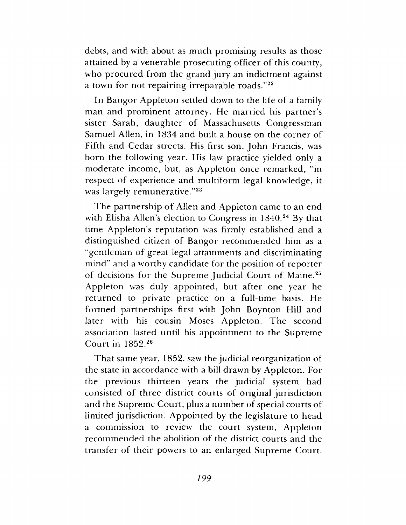debts, and with about as much promising results as those attained by a venerable prosecuting officer of this county, who procured from the grand jury an indictment against a town for not repairing irreparable roads."22

In Bangor Appleton settled down to the life of a family man and prominent attorney. He married his partner's sister Sarah, daughter of Massachusetts Congressman Samuel Allen, in 1834 and built a house on the corner of Fifth and Cedar streets. His first son, John Francis, was born the following year. His law practice yielded only a moderate income, but, as Appleton once remarked, "in respect of experience and multiform legal knowledge, it was largely remunerative."<sup>23</sup>

The partnership of Allen and Appleton came to an end with Elisha Allen's election to Congress in  $1840<sup>24</sup>$  By that time Appleton's reputation was firmly established and a distinguished citizen of Bangor recommended him as a entlem an of great legal attainments and discriminating mind" and a worthy candidate for the position of reporter of decisions for the Supreme Judicial Court of Maine.<sup>25</sup> Appleton was duly appointed, but after one year he returned to private practice on a full-time basis. He formed partnerships first with John Boynton Hill and later with his cousin Moses Appleton. The second association lasted until his appointment to the Supreme Court in 1852.<sup>26</sup>

That same year, 1852, saw the judicial reorganization of the state in accordance with a bill drawn by Appleton. For the previous thirteen years the judicial system had consisted of three district courts of original jurisdiction and the Supreme Court, plus a number of special courts of limited jurisdiction. Appointed by the legislature to head a commission to review the court system, Appleton recommended the abolition of the district courts and the transfer of their powers to an enlarged Supreme Court.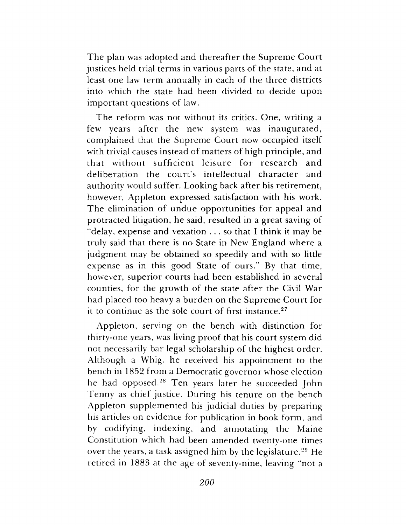The plan was adopted and thereafter the Supreme Court justices held trial terms in various parts of the state, and at least one law term annually in each of the three districts into which the state had been divided to decide upon im portant questions of law.

The reform was not without its critics. One, writing a few years after the new system was inaugurated, complained that the Supreme Court now occupied itself with trivial causes instead of matters of high principle, and that without sufficient leisure for research and deliberation the court's intellectual character and authority would suffer. Looking back after his retirement, however, Appleton expressed satisfaction with his work. The elimination of undue opportunities for appeal and protracted litigation, he said, resulted in a great saving of "delay, expense and vexation . . . so that I think it may be truly said that there is no State in New England where a judgm ent may be obtained so speedily and with so little expense as in this good State of ours." By that time, however, superior courts had been established in several counties, for the growth of the state after the Civil War had placed too heavy a burden on the Supreme Court for it to continue as the sole court of first instance.<sup>27</sup>

Appleton, serving on the bench with distinction for thirty-one years, was living proof that his court system did not necessarily bar legal scholarship of the highest order. Although a Whig, he received his appointment to the bench in 1852 from a Democratic governor whose election he had opposed.<sup>28</sup> Ten years later he succeeded John Tenny as chief justice. During his tenure on the bench Appleton supplemented his judicial duties by preparing his articles on evidence for publication in book form, and by codifying, indexing, and annotating the Maine Constitution which had been amended twenty-one times over the years, a task assigned him by the legislature.<sup>29</sup> He retired in 1883 at the age of seventy-nine, leaving "not a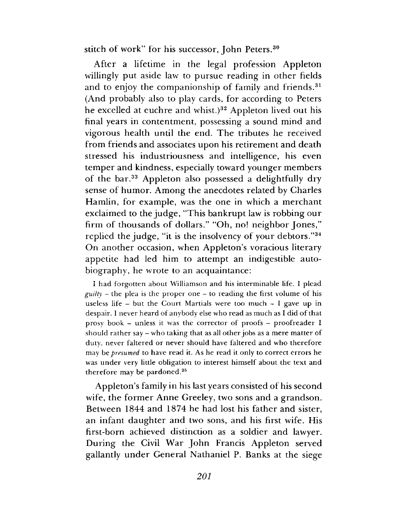stitch of work" for his successor, John Peters.<sup>30</sup>

After a lifetime in the legal profession Appleton willingly put aside law to pursue reading in other fields and to enjoy the companionship of family and friends.<sup>31</sup> (And probably also to play cards, for according to Peters he excelled at euchre and whist.)<sup>32</sup> Appleton lived out his final years in contentment, possessing a sound mind and vigorous health until the end. The tributes he received from friends and associates upon his retirement and death stressed his industriousness and intelligence, his even temper and kindness, especially toward younger members of the bar.<sup>33</sup> Appleton also possessed a delightfully dry sense of humor. Among the anecdotes related by Charles Hamlin, for example, was the one in which a merchant exclaimed to the judge, "This bankrupt law is robbing our firm of thousands of dollars." "Oh, no! neighbor Jones," replied the judge, "it is the insolvency of your debtors."34 On another occasion, when Appleton's voracious literary appetite had led him to attempt an indigestible autobiography, he wrote to an acquaintance:

I had forgotten about Williamson and his interminable life. I plead *guilty* – the plea is the proper one – to reading the first volume of his useless life  $-$  but the Court Martials were too much  $-$  I gave up in despair. I never heard of anybody else who read as much as I did of that prosy book - unless it was the corrector of proofs - proofreader  $I$ should rather say – who taking that as all other jobs as a mere matter of duty, never faltered or never should have faltered and who therefore may be *presumed* to have read it. As he read it only to correct errors he was under very little obligation to interest himself about the text and therefore may be pardoned.<sup>35</sup>

A ppleton's family in his last years consisted of his second wife, the former Anne Greeley, two sons and a grandson. Between 1844 and 1874 he had lost his father and sister, an infant daughter and two sons, and his first wife. His first-born achieved distinction as a soldier and lawyer. During the Civil War John Francis Appleton served gallantly under General Nathaniel P. Banks at the siege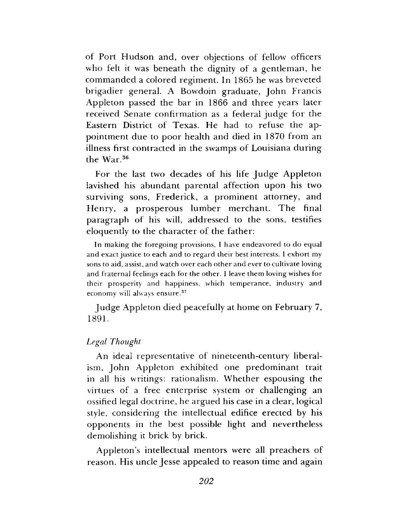of Port Hudson and, over objections of fellow officers who felt it was beneath the dignity of a gentleman, he commanded a colored regiment. In 1865 he was breveted brigadier general. A Bowdoin graduate, John Francis Appleton passed the bar in 1866 and three years later received Senate confirmation as a federal judge for the Eastern District of Texas. He had to refuse the appointment due to poor health and died in 1870 from an illness first contracted in the swamps of Louisiana during the War.<sup>36</sup>

For the last two decades of his life Judge Appleton lavished his abundant parental affection upon his two surviving sons, Frederick, a prominent attorney, and Henry, a prosperous lumber merchant. The final paragraph of his will, addressed to the sons, testifies eloquently to the character of the father:

In making the foregoing provisions, I have endeavored to do equal and exact justice to each and to regard their best interests. I exhort my sons to aid, assist, and watch over each other and ever to cultivate loving and fraternal feelings each for the other. I leave them loving wishes for their prosperity and happiness, which temperance, industry and economy will always ensure.37

Judge Appleton died peacefully at home on February 7, 1891.

#### *Legal Thought*

An ideal representative of nineteenth-century liberalism, John Appleton exhibited one predominant trait in all his writings: rationalism. W hether espousing the virtues of a free enterprise system or challenging an ossified legal doctrine, he argued his case in a clear, logical style, considering the intellectual edifice erected by his opponents in the best possible light and nevertheless dem olishing it brick by brick.

Appleton's intellectual mentors were all preachers of reason. His uncle Jesse appealed to reason time and again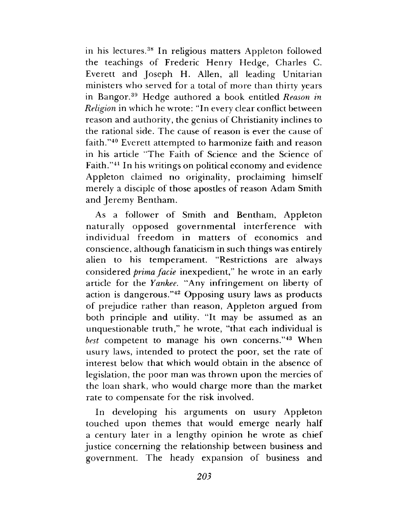in his lectures.<sup>38</sup> In religious matters Appleton followed the teachings of Frederic Henry Hedge, Charles C. Everett and Joseph H. Allen, all leading Unitarian ministers who served for a total of more than thirty years in Bangor.<sup>39</sup> Hedge authored a book entitled *Reason in Religion* in which he wrote: "In every clear conflict between reason and authority, the genius of Christianity inclines to the rational side. The cause of reason is ever the cause of faith."<sup>40</sup> Everett attempted to harmonize faith and reason in his article "The Faith of Science and the Science of Faith."41 In his writings on political economy and evidence Appleton claimed no originality, proclaiming himself merely a disciple of those apostles of reason Adam Smith and Jeremy Bentham.

As a follower of Smith and Bentham, Appleton naturally opposed governmental interference with individual freedom in matters of economics and conscience, although fanaticism in such things was entirely alien to his temperament. "Restrictions are always considered *prima facie* inexpedient," he wrote in an early article for the *Yankee*. "Any infringement on liberty of action is dangerous."42 Opposing usury laws as products of prejudice rather than reason, Appleton argued from both principle and utility. "It may be assumed as an unquestionable truth," he wrote, "that each individual is *best* competent to manage his own concerns."<sup>43</sup> When usury laws, intended to protect the poor, set the rate of interest below that which would obtain in the absence of legislation, the poor man was thrown upon the mercies of the loan shark, who would charge more than the market rate to compensate for the risk involved.

In developing his arguments on usury Appleton touched upon themes that would emerge nearly half a century later in a lengthy opinion he wrote as chief justice concerning the relationship between business and government. The heady expansion of business and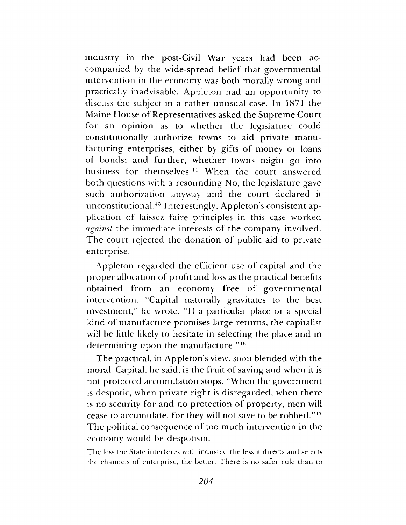industry in the post-Civil War years had been accompanied by the wide-spread belief that governmental intervention in the economy was both morally wrong and practically inadvisable. Appleton had an opportunity to discuss the subject in a rather unusual case. In 1871 the Maine House of Representatives asked the Supreme Court for an opinion as to whether the legislature could constitutionally authorize towns to aid private manufacturing enterprises, either by gifts of money or loans of bonds; and further, w hether towns might go into business for themselves.<sup>44</sup> When the court answered both questions with a resounding No, the legislature gave such authorization anyway and the court declared it unconstitutional.<sup>45</sup> Interestingly, Appleton's consistent application of laissez faire principles in this case worked *against* the immediate interests of the company involved. The court rejected the donation of public aid to private enterprise.

Appleton regarded the efficient use of capital and the proper allocation of profit and loss as the practical benefits obtained from an economy free of governmental intervention. "Capital naturally gravitates to the best investment," he wrote. "If a particular place or a special kind of manufacture promises large returns, the capitalist will be little likely to hesitate in selecting the place and in determining upon the manufacture."<sup>46</sup>

The practical, in Appleton's view, soon blended with the moral. Capital, he said, is the fruit of saving and when it is not protected accumulation stops. "When the government is despotic, when private right is disregarded, when there is no security for and no protection of property, men will cease to accumulate, for they will not save to be robbed."47 The political consequence of too much intervention in the economy would be despotism.

The less the State interferes with industry, the less it directs and selects the channels of enterprise, the better. There is no safer rule than to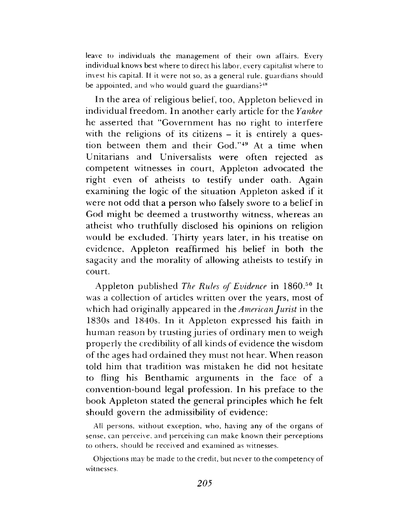leave to individuals the management of their own affairs. Every individual knows best where to direct his labor, every capitalist where to invest his capital. It it were not so, as a general rule, guardians should be appointed, and who would guard the guardians? $48$ 

In the area of religious belief, too, Appleton believed in individual freedom. In another early article for the *Yankee* he asserted that "Government has no right to interfere with the religions of its citizens  $-$  it is entirely a question between them and their God."<sup>49</sup> At a time when Unitarians and Universalists were often rejected as competent witnesses in court, Appleton advocated the right even of atheists to testify under oath. Again examining the logic of the situation Appleton asked if it were not odd that a person who falsely swore to a belief in God might be deemed a trustworthy witness, whereas an atheist who truthfully disclosed his opinions on religion would be excluded. Thirty years later, in his treatise on evidence, Appleton reaffirmed his belief in both the sagacity and the morality of allowing atheists to testify in court.

A ppleton published *The Rules of Evidence* in I860.50 It was a collection of articles written over the years, most of which had originally appeared in *the American Jurist* in the 1830s and 1840s. In it Appleton expressed his faith in hum an reason by trusting juries of ordinary men to weigh properly the credibility of all kinds of evidence the wisdom of the ages had ordained they must not hear. W hen reason told him that tradition was mistaken he did not hesitate to fling his Benthamic arguments in the face of a convention-bound legal profession. In his preface to the book Appleton stated the general principles which he felt should govern the admissibility of evidence:

All persons, without exception, who, having any of the organs of sense, can perceive, and perceiving can make known their perceptions to others, should be received and examined as witnesses.

Objections may be made to the credit, but never to the competency of witnesses.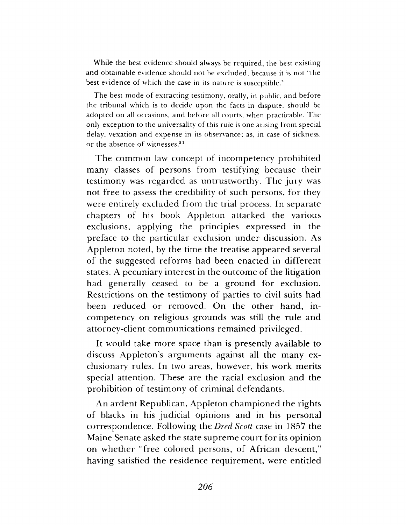While the best evidence should always be required, the best existing and obtainable evidence should not be excluded, because it is not "the best evidence of which the case in its nature is susceptible.'

The best mode of extracting testimony, orally, in public, and before the tribunal which is to decide upon the facts in dispute, should be adopted on all occasions, and before all courts, when practicable. The only exception to the universality of this rule is one arising from special delay, vexation and expense in its observance; as, in case of sickness, or the absence of witnesses.<sup>51</sup>

The common law concept of incompetency prohibited many classes of persons from testifying because their testimony was regarded as untrustworthy. The jury was not free to assess the credibility of such persons, for they were entirely excluded from the trial process. In separate chapters of his book Appleton attacked the various exclusions, applying the principles expressed in the preface to the particular exclusion under discussion. As Appleton noted, by the time the treatise appeared several of the suggested reforms had been enacted in different states. A pecuniary interest in the outcome of the litigation had generally ceased to be a ground for exclusion. Restrictions on the testimony of parties to civil suits had been reduced or removed. On the other hand, incompetency on religious grounds was still the rule and attorney-client communications remained privileged.

It would take more space than is presently available to discuss Appleton's arguments against all the many exclusionary rules. In two areas, however, his work merits special attention. These are the racial exclusion and the prohibition of testimony of criminal defendants.

An ardent Republican, Appleton championed the rights of blacks in his judicial opinions and in his personal correspondence. Following *the Bred Scott* case in 1857 the Maine Senate asked the state supreme court for its opinion on w hether "free colored persons, of African descent," having satisfied the residence requirement, were entitled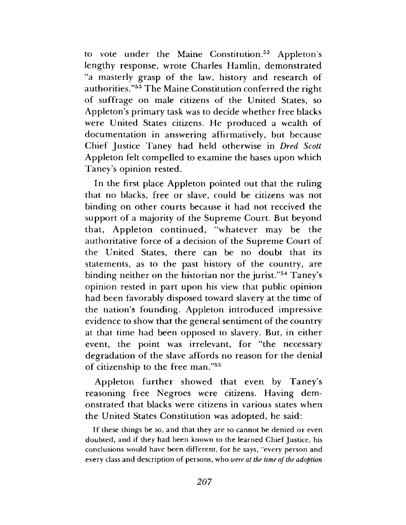to vote under the Maine Constitution.<sup>52</sup> Appleton's lengthy response, wrote Charles Hamlin, demonstrated "a masterly grasp of the law, history and research of authorities."<sup>53</sup> The Maine Constitution conferred the right of suffrage on male citizens of the United States, so Appleton's primary task was to decide whether free blacks were United States citizens. He produced a wealth of documentation in answering affirmatively, but because C hief Justice Taney had held otherwise in *Dred Scott* Appleton felt compelled to examine the bases upon which Taney's opinion rested.

In the first place Appleton pointed out that the ruling that no blacks, free or slave, could be citizens was not binding on other courts because it had not received the support of a majority of the Supreme Court. But beyond that, Appleton continued, "whatever may be the authoritative force of a decision of the Supreme Court of the United States, there can be no doubt that its statements, as to the past history of the country, are binding neither on the historian nor the jurist."<sup>54</sup> Taney's opinion rested in part upon his view that public opinion had been favorably disposed toward slavery at the time of the nation's founding. Appleton introduced impressive evidence to show that the general sentiment of the country at that time had been opposed to slavery. But, in either event, the point was irrelevant, for "the necessary degradation of the slave affords no reason for the denial of citizenship to the free man."<sup>55</sup>

Appleton further showed that even by Taney's reasoning free Negroes were citizens. Having dem onstrated that blacks were citizens in various states when the United States Constitution was adopted, he said:

If these things be so, and that they are so cannot be denied or even doubted, and if they had been known to the learned Chief Justice, his conclusions would have been different, for he says, "every person and every class and description of persons, who *were at the time of the adoption*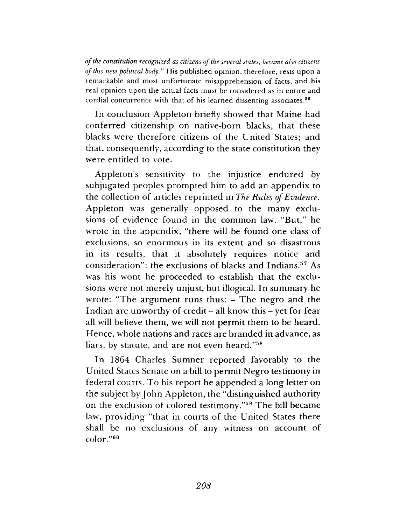*o f the constitution recognized as citizens of the several states*, *became also citizens of this new political body"* His published opinion, therefore, rests upon a remarkable and most unfortunate misapprehension of facts, and his real opinion upon the actual facts must be considered as in entire and cordial concurrence with that of his learned dissenting associates.<sup>56</sup>

In conclusion Appleton briefly showed that Maine had conferred citizenship on native-born blacks; that these blacks were therefore citizens of the United States; and that, consequently, according to the state constitution they were entitled to vote.

Appleton's sensitivity to the injustice endured by subjugated peoples prompted him to add an appendix to the collection of articles reprinted in *The Rules of Evidence*. Appleton was generally opposed to the many exclusions of evidence found in the common law. "But," he wrote in the appendix, "there will be found one class of exclusions, so enormous in its extent and so disastrous in its results, that it absolutely requires notice and consideration": the exclusions of blacks and Indians.57 As was his wont he proceeded to establish that the exclusions were not merely unjust, but illogical. In summary he wrote: "The argument runs thus:  $-$  The negro and the Indian are unworthy of credit  $-$  all know this  $-$  yet for fear all will believe them, we will not permit them to be heard. Hence, whole nations and races are branded in advance, as liars, by statute, and are not even heard."58

In 1864 Charles Sumner reported favorably to the United States Senate on a bill to permit Negro testimony in federal courts. To his report he appended a long letter on the subject by John Appleton, the "distinguished authority" on the exclusion of colored testimony."<sup>59</sup> The bill became law, providing "that in courts of the United States there shall be no exclusions of any witness on account of color."60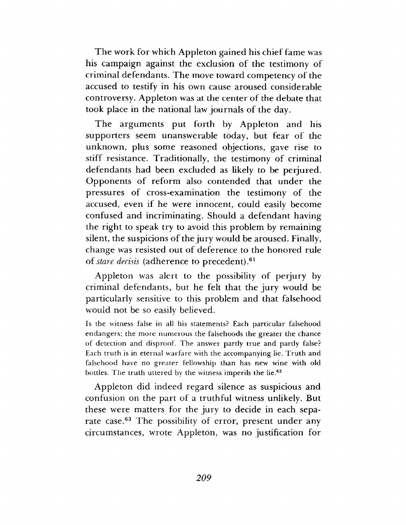The work for which Appleton gained his chief fame was his campaign against the exclusion of the testimony of criminal defendants. The move toward competency of the accused to testify in his own cause aroused considerable controversy. Appleton was at the center of the debate that took place in the national law journals of the day.

The arguments put forth by Appleton and his supporters seem unanswerable today, but fear of the unknown, plus some reasoned objections, gave rise to stiff resistance. Traditionally, the testimony of criminal defendants had been excluded as likely to be perjured. Opponents of reform also contended that under the pressures of cross-examination the testimony of the accused, even if he were innocent, could easily become confused and incriminating. Should a defendant having the right to speak try to avoid this problem by remaining silent, the suspicions of the jury would be aroused. Finally, change was resisted out of deference to the honored rule of *stare decisis* (adherence to precedent).61

Appleton was alert to the possibility of perjury by criminal defendants, but he felt that the jury would be particularly sensitive to this problem and that falsehood would not be so easily believed.

Is the witness false in all his statements? Each particular falsehood endangers; the more numerous the falsehoods the greater the chance of detection and disproof. The answer partly true and partly false? Each truth is in eternal warfare with the accompanying lie. Truth and falsehood have no greater fellowship than has new wine with old bottles. The truth uttered by the witness imperils the lie.<sup>62</sup>

Appleton did indeed regard silence as suspicious and confusion on the part of a truthful witness unlikely. But these were m atters for the jury to decide in each separate case. $63$  The possibility of error, present under any circumstances, wrote A ppleton, was no justification for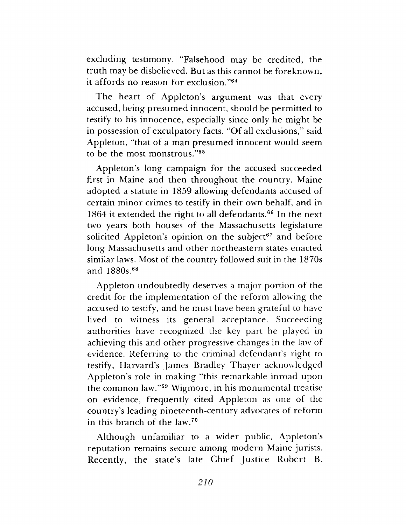excluding testimony. "Falsehood may be credited, the truth may be disbelieved. But as this cannot be foreknown, it affords no reason for exclusion."64

The heart of Appleton's argument was that every accused, being presumed innocent, should be permitted to testify to his innocence, especially since only he might be in possession of exculpatory facts. "Of all exclusions," said Appleton, "that of a man presumed innocent would seem to be the most monstrous."<sup>65</sup>

Appleton's long campaign for the accused succeeded first in Maine and then throughout the country. Maine adopted a statute in 1859 allowing defendants accused of certain minor crimes to testify in their own behalf, and in 1864 it extended the right to all defendants.<sup>66</sup> In the next two years both houses of the Massachusetts legislature solicited Appleton's opinion on the subject<sup>67</sup> and before long Massachusetts and other northeastern states enacted similar laws. Most of the country followed suit in the 1870s and 1880s.68

Appleton undoubtedly deserves a major portion of the credit for the implementation of the reform allowing the accused to testify, and he must have been grateful to have lived to witness its general acceptance. Succeeding authorities have recognized the key part he played in achieving this and other progressive changes in the law of evidence. Referring to the criminal defendant's right to testify, Harvard's James Bradley Thayer acknowledged Appleton's role in making "this remarkable inroad upon the common law."<sup>69</sup> Wigmore, in his monumental treatise on evidence, frequently cited Appleton as one of the country's leading nineteenth-century advocates of reform in this branch of the law.70

Although unfamiliar to a wider public, Appleton's reputation remains secure among modern Maine jurists. Recently, the state's late Chief Justice Robert B.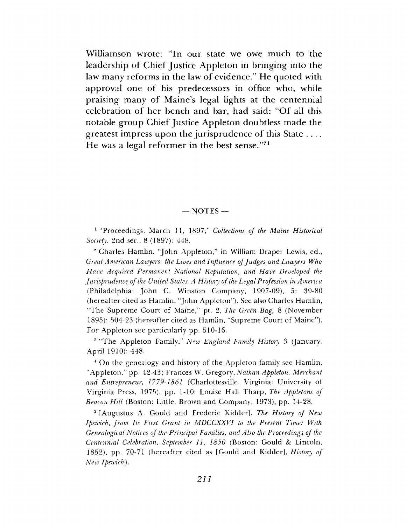Williamson wrote: "In our state we owe much to the leadership of Chief Justice Appleton in bringing into the law many reforms in the law of evidence." He quoted with approval one of his predecessors in office who, while praising many of Maine's legal lights at the centennial celebration of her bench and bar, had said: "Of all this notable group Chief Justice Appleton doubtless made the greatest impress upon the jurisprudence of this State He was a legal reformer in the best sense." $7<sup>1</sup>$ 

#### $-$  NOTES  $-$

<sup>1</sup> "Proceedings. March 11, 1897," *Collections of the Maine Historical Society*, 2nd ser., 8 (1897): 448.

<sup>2</sup> Charles Hamlin, "John Appleton," in William Draper Lewis, ed., *Great American Lawyers: the Lives and Influence of Judges and Lawyers Who Have Acquired Permanent National Reputation, and Have Developed the Jurisprudence of the United States. A History of the Legal Profession in America* (Philadelphia: John C. Winston Company, 1907-09), 5: 39-80 (hereafter cited as Hamlin, "John Appleton"). See also Charles Hamlin, "The Supreme Court of Maine," pt. 2, *The Green Bag*, 8 (November 1895): 504-23 (hereafter cited as Hamlin, "Supreme Court of Maine"). For Appleton see particularly pp. 510-16.

<sup>3</sup> "The Appleton Family," *New England Family History* 3 (January, April 1910): 448.

<sup>4</sup> On the genealogy and history of the Appleton family see Hamlin, "Appleton," pp. 42-43; Frances W. Gregory, *Nathan Appleton: Merchant and Entrepreneur*, *1779-1861* (Charlottesville, Virginia: University of Virginia Press, 1975), pp. 1-10; Louise Hall Tharp, *The Appletons of Beacon H ill* (Boston: Little, Brown and Company, 1973), pp. 14-28.

<sup>5</sup> [Augustus A. Gould and Frederic Kidder], *The History of New Ipswich, from Its First Grant in MDCCXXV1 to the Present Time: With Genealogical Notices of the Principal Families, and Also the Proceedings of the Centennial Celebration*, *September 11, 1850* (Boston: Gould *8c* Lincoln, 1852), pp. 70-71 (hereafter cited as [Gould and Kidder], *History of New Ipswich*).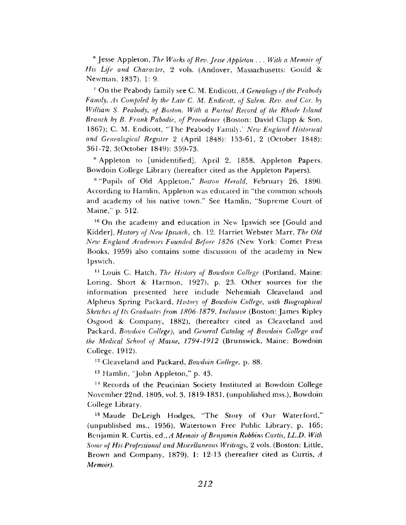fi Jesse A ppleton, *The Works of Rev. Jesse Appleton* . . . *With a Memoir of His Life and Character,* 2 vols. (Andover, Massachusetts: Gould & Newman, 1837), 1: 9.

<sup>7</sup> On the Peabody family see C. M. Endicott, *A Genealogy of the Peabody Family, As Compiled by the Late C. M. Endicott, of Salem. Rev. and Cor. by William S. Peabody*, *of Boston. With a Partial Record of the Rhode Island Branch by B. Frank Pabodie, of Providence* (Boston: David Clapp & Son, 1867); C. M. Endicott, "T he Peabody Family,' *New England Historical and Genealogical Register* 2 (April 1848): 153-61, 2 (October 1848): 361-72, 3(October 1849): 359-73.

\* A ppleton to [unidentified], April 2, 1858, A ppleton Papers, Bowdoin College Library (hereafter cited as the Appleton Papers).

<sup>9</sup> "Pupils of Old Appleton," *Boston Herald*, February 26, 1890. According to Hamlin, Appleton was educated in "the common schools and academy of his native town." See Hamlin, "Supreme Court of Maine,' p. 512.

<sup>10</sup> On the academy and education in New Ipswich see [Gould and Kidder], *History of New Ipswich*, ch. 12. Harriet Webster Marr, *The Old New England Academies Founded Before 1826* (New York: Comet Press Books, 1959) also contains some discussion of the academy in New Ipswich.

11 Louis C. Hatch, *The History of Bowdoin College* (Portland, Maine: Loring, Short & Harmon, 1927), p. 23. Other sources for the information presented here include Nehemiah Cleaveland and A lpheus Spring Packard, *History of Bowdoin College, with Biographical Sketches of Its Graduates from 1806-1879, Inclusive* (Boston: James Ripley Osgood & Company, 1882), (hereafter cited as Cleaveland and Packard, *Bowdoin College),* and *General Catalog of Bowdoin College and the Medical School of Maine, 1794-1912* (Brunswick, Maine; Bowdoin College, 1912).

12 Cleaveland and Packard, *Bowdoin College*, p. 88.

 $13$  Hamlin, "John Appleton," p. 43.

14 Records of the Peucinian Society Instituted at Bowdoin College November 22nd, 1805, vol. 3, 1819-1831, (unpublished mss.), Bowdoin College Library.

<sup>15</sup> Maude DeLeigh Hodges, "The Story of Our Waterford," (unpublished ms., 1956), Watertown Free Public Library, p. 165; Benjamin R. Curtis, ed., *A Memoir of Benjamin Robbins Curtis, LL.D. With Some of His Professional and Miscellaneous Writings,* 2 vols. (Boston: Little, Brown and Company, 1879), 1: 12-13 (hereafter cited as Curtis, A *Memoir).*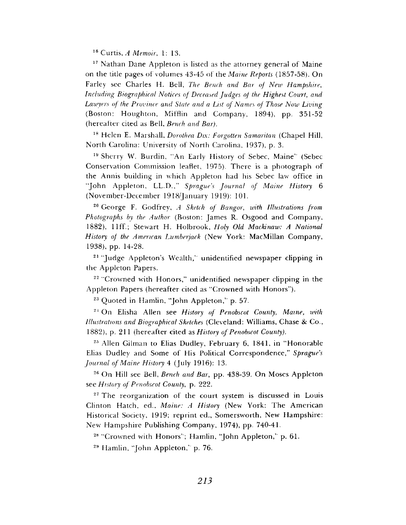16 Curtis, *A Memoir,* 1: 13.

 $17$  Nathan Dane Appleton is listed as the attorney general of Maine on the title pages of volumes 43-45 of the *Maine Reports* (1857-58). On Farley see Charles H. Bell, *The Bench and. Bar of New Hampshire, Including Biographical Notices of Deceased Judges of the Highest Court*, *and Lawyers of the Province and State and a List of Names of Those Now Living* (Boston: Houghton, Mifflin and Company, 1894), pp. 351-52 (hereafter cited as Bell, *Bench and Bar).*

<sup>18</sup> Helen E. Marshall, *Dorothea Dix: Forgotten Samaritan* (Chapel Hill, North Carolina: University of North Carolina, 1937), p. 3.

<sup>19</sup> Sherry W. Burdin, "An Early History of Sebec, Maine" (Sebec Conservation Commission leaflet, 1975). There is a photograph of the Annis building in which Appleton had his Sebec law office in "John Appleton, LL.D.," Sprague's Journal of Maine History 6 (November-December 1918/January 1919): 101.

<sup>20</sup> George F. Godfrey, *A Sketch of Bangor, with Illustrations from* Photographs by the Author (Boston: James R. Osgood and Company, 1882), 11ff.; Stewart H. Holbrook, *Holy Old Mackinaw: A National* History of the American Lumberjack (New York: MacMillan Company, 1938), pp. 14-28.

<sup>21</sup> "Judge Appleton's Wealth," unidentified newspaper clipping in the Appleton Papers.

<sup>22</sup> "Crowned with Honors," unidentified newspaper clipping in the Appleton Papers (hereafter cited as "Crowned with Honors").

 $23$  Quoted in Hamlin, "John Appleton," p. 57.

24 On Elisha Allen see *History of Penobscot County, Maine, with Illustrations and Biographical Sketches* (Cleveland: Williams, Chase *Sc* Co., 1882), p. 211 (hereafter cited as *History of Penobscot County).*

 $25$  Allen Gilman to Elias Dudley, February 6, 1841, in "Honorable Elias Dudley and Some of His Political Correspondence," Sprague's *Journal of Maine History* 4 (July 1916): 13.

<sup>26</sup> On Hill see Bell, *Bench and Bar*, pp. 438-39. On Moses Appleton see *History of Penobscot County,* p. 222.

 $27$  The reorganization of the court system is discussed in Louis Clinton Hatch, ed., *Maine: A History* (New York: The American Historical Society, 1919; reprint ed., Somersworth, New Hampshire: New Hampshire Publishing Company, 1974), pp. 740-41.

<sup>28</sup> "Crowned with Honors"; Hamlin, "John Appleton," p. 61.

 $29$  Hamlin, "John Appleton," p. 76.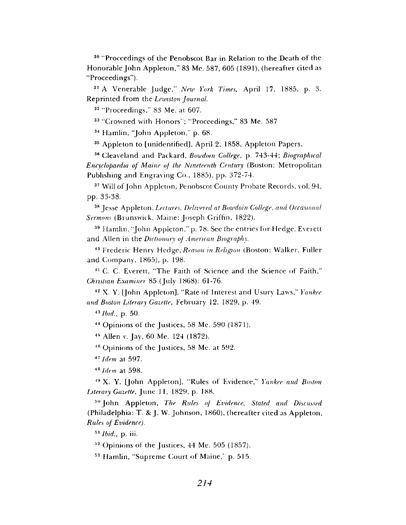30 "Proceedings of the Penobscot Bar in Relation to the Death of the Honorable John Appleton," 83 Me. 587, 605 (1891), (hereafter cited as "Proceedings").

31 A Venerable Judge," *New York Times*, April 17, 1885, p. 3. R eprinted from the *Lewiston Journal.*

32 "Proceedings," 83 Me. at 607.

<sup>33</sup> "Crowned with Honors"; "Proceedings," 83 Me. 587

 $34$  Hamlin, "John Appleton," p. 68.

<sup>35</sup> Appleton to [unidentified], April 2, 1858, Appleton Papers.

36 Cleaveland and Packard, *Bowdoin College*, p. 743-44; *Biographical Encyclopaedia of Maine of the Nineteenth Century* (Boston: Metropolitan Publishing and Engraving Co., 1885), pp. 372-74.

<sup>37</sup> Will of John Appleton, Penobscot County Probate Records, vol. 94, pp. 33-38.

38 Jesse A ppleton, *Lectures, Delivered at Bowdoin College, and Occasional Sermons* (Brunswick, Maine: Joseph Griffin, 1822).

<sup>39</sup> Hamlin, "John Appleton," p. 78. See the entries for Hedge, Everett and Allen in the *Dictionary of American Biography.*

<sup>40</sup> Frederic Henry Hedge, *Reason in Religion* (Boston: Walker, Fuller and Company, 1865), p. 198.

<sup>41</sup> C. C. Everett, "The Faith of Science and the Science of Faith," *Christian Examiner* 85 (July 1868): 61-76.

42 X. Y. [John A ppleton], "Rate of Interest and Usury Laws," *Yankee and Boston Literary Gazette*, February 12, 1829, p. 49.

43 *Ibid.,* p. 50.

 $44$  Opinions of the Justices, 58 Me. 590 (1871).

43 Allen v. Jay, 60 Me. 124 (1872).

 $46$  Opinions of the Justices, 58 Me. at 592.

*47 Idem* at 597.

48 *Idem* at 598.

49 X. Y. [John A ppleton], "Rules of Evidence," *Yankee and Boston Literary Gazette, June 11, 1829, p. 188.* 

<sup>50</sup> John Appleton, *The Rules of Evidence*, Stated and Discussed (Philadelphia: T. & J. W. Johnson, 1860), (hereafter cited as Appleton, *Rules of Evidence).*

51 *Ibid.,* p. iii.

 $52$  Opinions of the Justices, 44 Me. 505 (1857).

<sup>53</sup> Hamlin, "Supreme Court of Maine," p. 515.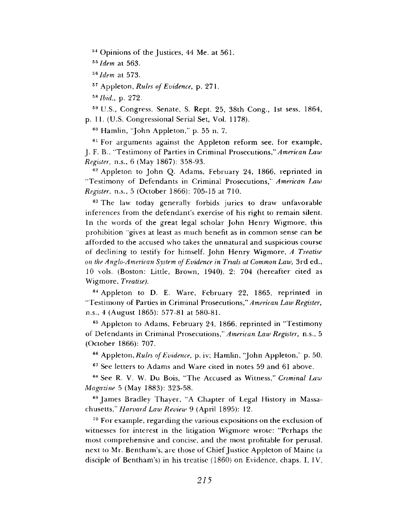<sup>54</sup> Opinions of the Justices, 44 Me. at 561.

55 *Idem* at 563.

*™ldem* at 573.

57 A ppleton, *Rules of Evidence*, p. 271.

58 *Ibid.,* p. 272.

&9 U.S., Congress, Senate, S. Rept. 25, 38th Cong., 1st sess, 1864, p. 11. (U.S. Congressional Serial Set, Vol. 1178).

 $60$  Hamlin, "John Appleton," p. 55 n. 7.

<sup>61</sup> For arguments against the Appleton reform see, for example, J. F. B., "Testimony of Parties in Criminal Prosecutions," American Law *Register,* n.s., 6 (May 1867): 358-93.

 $62$  Appleton to John Q. Adams, February 24, 1866, reprinted in "Testimony of Defendants in Criminal Prosecutions," American Law *Register*, n.s., 5 (October 1866): 705-15 at 710.

<sup>63</sup> The law today generally forbids juries to draw unfavorable inferences from the defendant's exercise of his right to remain silent. In the words of the great legal scholar John Henry Wigmore, this prohibition "gives at least as much benefit as in common sense can be afforded to the accused who takes the unnatural and suspicious course of declining to testify for himself. John Henry Wigmore, *A Treatise on the Anglo-American System of Evidence in Trials at Common Law,* 3rd ed., 10 vols. (Boston: Little, Brown, 1940), 2: 704 (hereafter cited as W igm ore, *Treatise).*

<sup>64</sup> Appleton to D. E. Ware, February 22, 1865, reprinted in "Testimony of Parties in Criminal Prosecutions," American Law Register, n.s., 4 (August 1865): 577-81 at 580-81.

<sup>65</sup> Appleton to Adams, February 24, 1866, reprinted in "Testimony of Defendants in Criminal Prosecutions," American Law Register, n.s., 5 (O ctober 1866): 707.

<sup>66</sup> Appleton, *Rules of Evidence*, p. iv; Hamlin, "John Appleton," p. 50.

<sup>67</sup> See letters to Adams and Ware cited in notes 59 and 61 above.

<sup>68</sup> See R. V. W. Du Bois, "The Accused as Witness," *Criminal Law Magazine* 5 (May 1883): 323-58.

<sup>69</sup> James Bradley Thayer, "A Chapter of Legal History in Massachusetts," *Harvard Law Review* 9 (April 1895): 12.

<sup>70</sup> For example, regarding the various expositions on the exclusion of witnesses for interest in the litigation Wigmore wrote: "Perhaps the most comprehensive and concise, and the most profitable for perusal, next to Mr. Bentham's, are those of Chief Justice Appleton of Maine (a disciple of Bentham's) in his treatise  $(1860)$  on Evidence, chaps. I, IV,